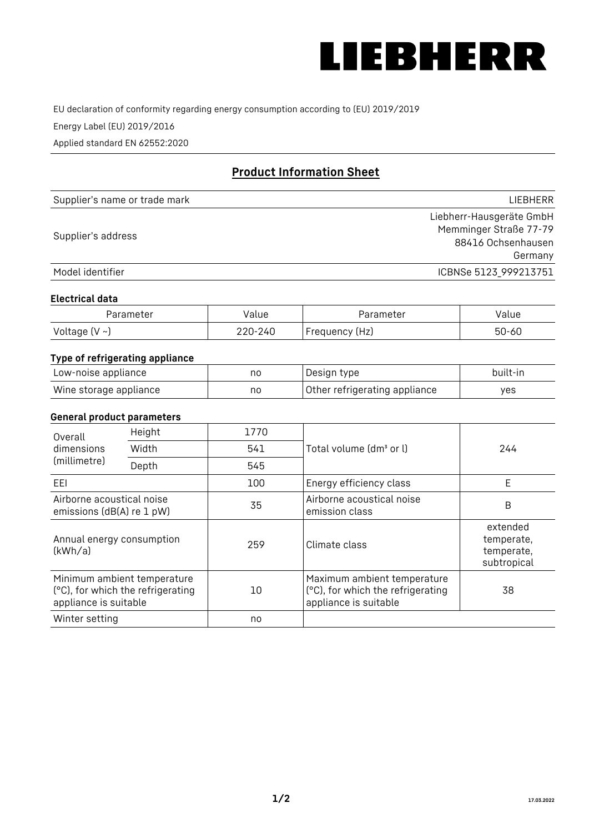

EU declaration of conformity regarding energy consumption according to (EU) 2019/2019

Energy Label (EU) 2019/2016

Applied standard EN 62552:2020

# **Product Information Sheet**

| Supplier's name or trade mark | <b>LIFBHFRR</b>          |
|-------------------------------|--------------------------|
|                               | Liebherr-Hausgeräte GmbH |
| Supplier's address            | Memminger Straße 77-79   |
|                               | 88416 Ochsenhausen       |
|                               | Germany                  |
| Model identifier              | ICBNSe 5123 999213751    |

#### **Electrical data**

| Parameter     | Value   | Parameter      | alue/     |
|---------------|---------|----------------|-----------|
| Voltage (V ~J | 220-240 | Frequency (Hz) | $50 - 60$ |

## **Type of refrigerating appliance**

| Low-noise appliance    | no | Design type                   | built-in |
|------------------------|----|-------------------------------|----------|
| Wine storage appliance | no | Other refrigerating appliance | ves      |

#### **General product parameters**

| Height<br>Overall                                      |                                                                  | 1770 |                                                                                           |                                                     |
|--------------------------------------------------------|------------------------------------------------------------------|------|-------------------------------------------------------------------------------------------|-----------------------------------------------------|
| dimensions<br>(millimetre)                             | Width                                                            | 541  | Total volume (dm <sup>3</sup> or l)                                                       | 244                                                 |
|                                                        | Depth                                                            | 545  |                                                                                           |                                                     |
| EEL                                                    |                                                                  | 100  | Energy efficiency class                                                                   | E                                                   |
| Airborne acoustical noise<br>emissions (dB(A) re 1 pW) |                                                                  | 35   | Airborne acoustical noise<br>emission class                                               | B                                                   |
| Annual energy consumption<br>(kWh/a)                   |                                                                  | 259  | Climate class                                                                             | extended<br>temperate,<br>temperate,<br>subtropical |
| appliance is suitable                                  | Minimum ambient temperature<br>(°C), for which the refrigerating | 10   | Maximum ambient temperature<br>(°C), for which the refrigerating<br>appliance is suitable | 38                                                  |
| Winter setting                                         |                                                                  | no   |                                                                                           |                                                     |